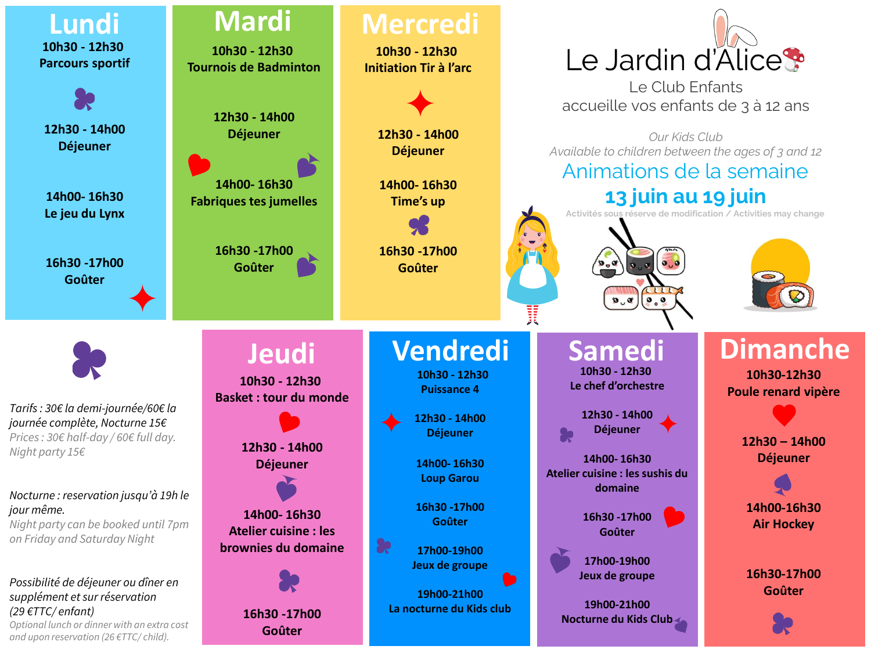